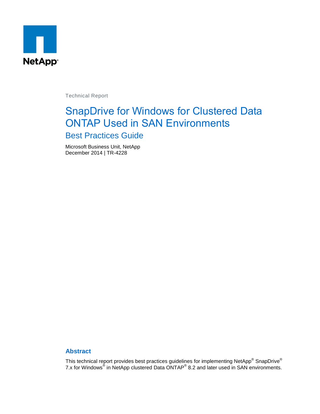

Technical Report

# SnapDrive for Windows for Clustered Data ONTAP Used in SAN Environments

## Best Practices Guide

Microsoft Business Unit, NetApp December 2014 | TR-4228

### **Abstract**

This technical report provides best practices guidelines for implementing NetApp $^{\circledast}$  SnapDrive $^{\circledast}$ 7.x for Windows<sup>®</sup> in NetApp clustered Data ONTAP<sup>®</sup> 8.2 and later used in SAN environments.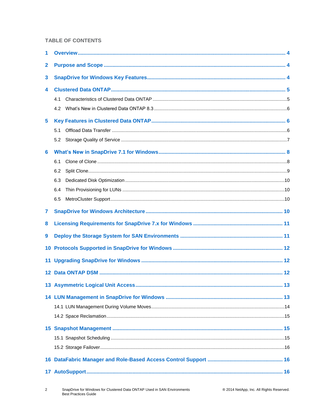#### **TABLE OF CONTENTS**

| $\mathbf{2}$ |     |  |
|--------------|-----|--|
| 3            |     |  |
| 4            |     |  |
|              | 4.1 |  |
|              | 4.2 |  |
| 5            |     |  |
|              | 5.1 |  |
|              | 5.2 |  |
| 6            |     |  |
|              | 6.1 |  |
|              | 6.2 |  |
|              | 6.3 |  |
|              | 6.4 |  |
|              | 6.5 |  |
| 7            |     |  |
| 8            |     |  |
| 9            |     |  |
| 10           |     |  |
| 11           |     |  |
| $12 \,$      |     |  |
|              |     |  |
|              |     |  |
|              |     |  |
|              |     |  |
|              |     |  |
|              |     |  |
|              |     |  |
|              |     |  |
|              |     |  |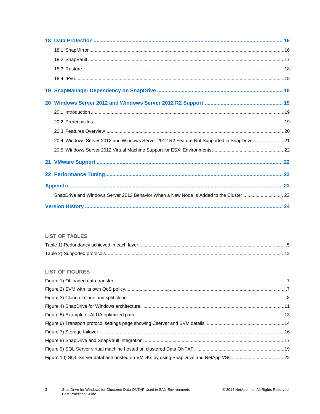| 20.4 Windows Server 2012 and Windows Server 2012 R2 Feature Not Supported in SnapDrive21 |  |
|------------------------------------------------------------------------------------------|--|
|                                                                                          |  |
|                                                                                          |  |
|                                                                                          |  |
|                                                                                          |  |
| SnapDrive and Windows Server 2012 Behavior When a New Node Is Added to the Cluster  23   |  |
|                                                                                          |  |

### **LIST OF TABLES**

## **LIST OF FIGURES**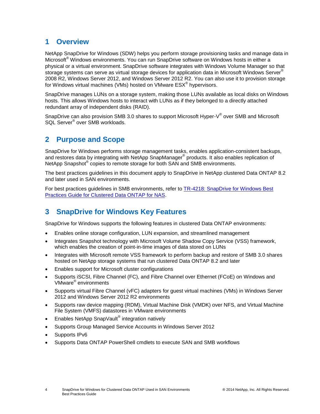## <span id="page-3-0"></span>**1 Overview**

NetApp SnapDrive for Windows (SDW) helps you perform storage provisioning tasks and manage data in Microsoft® Windows environments. You can run SnapDrive software on Windows hosts in either a physical or a virtual environment. SnapDrive software integrates with Windows Volume Manager so that storage systems can serve as virtual storage devices for application data in Microsoft Windows Server® 2008 R2, Windows Server 2012, and Windows Server 2012 R2. You can also use it to provision storage for Windows virtual machines (VMs) hosted on VMware  $\mathsf{ESX}^{\circledast}$  hypervisors.

SnapDrive manages LUNs on a storage system, making those LUNs available as local disks on Windows hosts. This allows Windows hosts to interact with LUNs as if they belonged to a directly attached redundant array of independent disks (RAID).

SnapDrive can also provision SMB 3.0 shares to support Microsoft Hyper-V<sup>®</sup> over SMB and Microsoft SQL Server® over SMB workloads.

## <span id="page-3-1"></span>**2 Purpose and Scope**

SnapDrive for Windows performs storage management tasks, enables application-consistent backups, and restores data by integrating with NetApp SnapManager® products. It also enables replication of NetApp Snapshot® copies to remote storage for both SAN and SMB environments.

The best practices guidelines in this document apply to SnapDrive in NetApp clustered Data ONTAP 8.2 and later used in SAN environments.

For best practices guidelines in SMB environments, refer to [TR-4218: SnapDrive for Windows Best](https://fieldportal.netapp.com/?oparams=154265)  [Practices Guide for Clustered Data ONTAP for NAS.](https://fieldportal.netapp.com/?oparams=154265)

## <span id="page-3-2"></span>**3 SnapDrive for Windows Key Features**

SnapDrive for Windows supports the following features in clustered Data ONTAP environments:

- Enables online storage configuration, LUN expansion, and streamlined management
- Integrates Snapshot technology with Microsoft Volume Shadow Copy Service (VSS) framework, which enables the creation of point-in-time images of data stored on LUNs
- Integrates with Microsoft remote VSS framework to perform backup and restore of SMB 3.0 shares hosted on NetApp storage systems that run clustered Data ONTAP 8.2 and later
- Enables support for Microsoft cluster configurations
- Supports iSCSI, Fibre Channel (FC), and Fibre Channel over Ethernet (FCoE) on Windows and VMware® environments
- Supports virtual Fibre Channel (vFC) adapters for guest virtual machines (VMs) in Windows Server 2012 and Windows Server 2012 R2 environments
- Supports raw device mapping (RDM), Virtual Machine Disk (VMDK) over NFS, and Virtual Machine File System (VMFS) datastores in VMware environments
- Enables NetApp SnapVault<sup>®</sup> integration natively
- Supports Group Managed Service Accounts in Windows Server 2012
- Supports IPv6
- Supports Data ONTAP PowerShell cmdlets to execute SAN and SMB workflows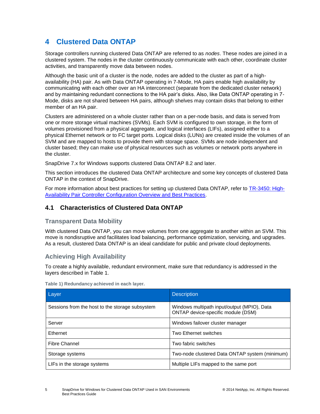## <span id="page-4-0"></span>**4 Clustered Data ONTAP**

Storage controllers running clustered Data ONTAP are referred to as *nodes*. These nodes are joined in a clustered system. The nodes in the cluster continuously communicate with each other, coordinate cluster activities, and transparently move data between nodes.

Although the basic unit of a cluster is the node, nodes are added to the cluster as part of a highavailability (HA) pair. As with Data ONTAP operating in 7-Mode, HA pairs enable high availability by communicating with each other over an HA interconnect (separate from the dedicated cluster network) and by maintaining redundant connections to the HA pair's disks. Also, like Data ONTAP operating in 7- Mode, disks are not shared between HA pairs, although shelves may contain disks that belong to either member of an HA pair.

Clusters are administered on a whole cluster rather than on a per-node basis, and data is served from one or more storage virtual machines (SVMs). Each SVM is configured to own storage, in the form of volumes provisioned from a physical aggregate, and logical interfaces (LIFs), assigned either to a physical Ethernet network or to FC target ports. Logical disks (LUNs) are created inside the volumes of an SVM and are mapped to hosts to provide them with storage space. SVMs are node independent and cluster based; they can make use of physical resources such as volumes or network ports anywhere in the cluster.

SnapDrive 7.x for Windows supports clustered Data ONTAP 8.2 and later.

This section introduces the clustered Data ONTAP architecture and some key concepts of clustered Data ONTAP in the context of SnapDrive.

For more information about best practices for setting up clustered Data ONTAP, refer to [TR-3450: High-](https://fieldportal.netapp.com/?oparams=58472)[Availability Pair Controller Configuration Overview and Best Practices.](https://fieldportal.netapp.com/?oparams=58472)

## <span id="page-4-1"></span>**4.1 Characteristics of Clustered Data ONTAP**

### **Transparent Data Mobility**

With clustered Data ONTAP, you can move volumes from one aggregate to another within an SVM. This move is nondisruptive and facilitates load balancing, performance optimization, servicing, and upgrades. As a result, clustered Data ONTAP is an ideal candidate for public and private cloud deployments.

## **Achieving High Availability**

To create a highly available, redundant environment, make sure that redundancy is addressed in the layers described in [Table 1.](#page-4-2)

| Layer                                           | <b>Description</b>                                                                |
|-------------------------------------------------|-----------------------------------------------------------------------------------|
| Sessions from the host to the storage subsystem | Windows multipath input/output (MPIO), Data<br>ONTAP device-specific module (DSM) |
| Server                                          | Windows failover cluster manager                                                  |
| Ethernet                                        | Two Ethernet switches                                                             |
| Fibre Channel                                   | Two fabric switches                                                               |
| Storage systems                                 | Two-node clustered Data ONTAP system (minimum)                                    |
| LIFs in the storage systems                     | Multiple LIFs mapped to the same port                                             |

<span id="page-4-2"></span>**Table 1) Redundancy achieved in each layer.**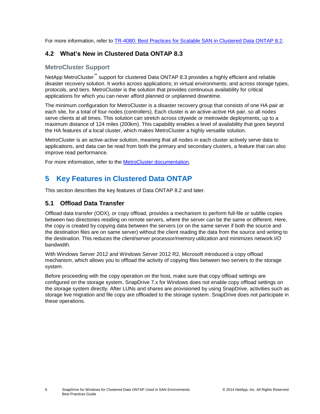For more information, refer to [TR-4080: Best Practices for Scalable SAN in Clustered Data ONTAP 8.2.](https://fieldportal.netapp.com/?oparams=89804)

## <span id="page-5-0"></span>**4.2 What's New in Clustered Data ONTAP 8.3**

### **MetroCluster Support**

NetApp MetroCluster<sup>™</sup> support for clustered Data ONTAP 8.3 provides a highly efficient and reliable disaster recovery solution. It works across applications; in virtual environments; and across storage types, protocols, and tiers. MetroCluster is the solution that provides continuous availability for critical applications for which you can never afford planned or unplanned downtime.

The minimum configuration for MetroCluster is a disaster recovery group that consists of one HA pair at each site, for a total of four nodes (controllers). Each cluster is an active-active HA pair, so all nodes serve clients at all times. This solution can stretch across citywide or metrowide deployments, up to a maximum distance of 124 miles (200km). This capability enables a level of availability that goes beyond the HA features of a local cluster, which makes MetroCluster a highly versatile solution.

MetroCluster is an active-active solution, meaning that all nodes in each cluster actively serve data to applications, and data can be read from both the primary and secondary clusters, a feature that can also improve read performance.

For more information, refer to the [MetroCluster documentation.](http://mysupport.netapp.com/documentation/docweb/index.html?productID=61912&language=en-US)

## <span id="page-5-1"></span>**5 Key Features in Clustered Data ONTAP**

This section describes the key features of Data ONTAP 8.2 and later.

## <span id="page-5-2"></span>**5.1 Offload Data Transfer**

Offload data transfer (ODX), or copy offload, provides a mechanism to perform full-file or subfile copies between two directories residing on remote servers, where the server can be the same or different. Here, the copy is created by copying data between the servers (or on the same server if both the source and the destination files are on same server) without the client reading the data from the source and writing to the destination. This reduces the client/server processor/memory utilization and minimizes network I/O bandwidth.

With Windows Server 2012 and Windows Server 2012 R2, Microsoft introduced a copy offload mechanism, which allows you to offload the activity of copying files between two servers to the storage system.

Before proceeding with the copy operation on the host, make sure that copy offload settings are configured on the storage system. SnapDrive 7.x for Windows does not enable copy offload settings on the storage system directly. After LUNs and shares are provisioned by using SnapDrive, activities such as storage live migration and file copy are offloaded to the storage system. SnapDrive does not participate in these operations.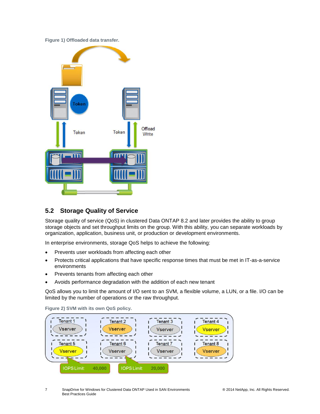#### <span id="page-6-1"></span>**Figure 1) Offloaded data transfer.**



## <span id="page-6-0"></span>**5.2 Storage Quality of Service**

Storage quality of service (QoS) in clustered Data ONTAP 8.2 and later provides the ability to group storage objects and set throughput limits on the group. With this ability, you can separate workloads by organization, application, business unit, or production or development environments.

In enterprise environments, storage QoS helps to achieve the following:

- Prevents user workloads from affecting each other
- Protects critical applications that have specific response times that must be met in IT-as-a-service environments
- Prevents tenants from affecting each other
- Avoids performance degradation with the addition of each new tenant

QoS allows you to limit the amount of I/O sent to an SVM, a flexible volume, a LUN, or a file. I/O can be limited by the number of operations or the raw throughput.



<span id="page-6-2"></span>**Figure 2) SVM with its own QoS policy.**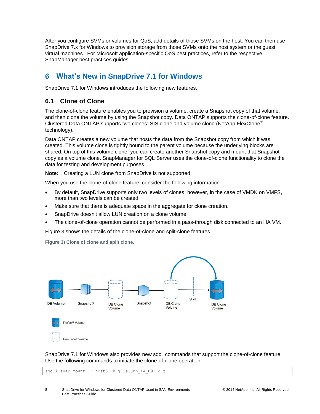After you configure SVMs or volumes for QoS, add details of those SVMs on the host. You can then use SnapDrive 7.x for Windows to provision storage from those SVMs onto the host system or the guest virtual machines. For Microsoft application-specific QoS best practices, refer to the respective SnapManager best practices guides.

## <span id="page-7-0"></span>**6 What's New in SnapDrive 7.1 for Windows**

SnapDrive 7.1 for Windows introduces the following new features.

### <span id="page-7-1"></span>**6.1 Clone of Clone**

The clone-of-clone feature enables you to provision a volume, create a Snapshot copy of that volume, and then clone the volume by using the Snapshot copy. Data ONTAP supports the clone-of-clone feature. Clustered Data ONTAP supports two clones: SIS clone and volume clone (NetApp FlexClone<sup>®</sup> technology).

Data ONTAP creates a new volume that hosts the data from the Snapshot copy from which it was created. This volume clone is tightly bound to the parent volume because the underlying blocks are shared. On top of this volume clone, you can create another Snapshot copy and mount that Snapshot copy as a volume clone. SnapManager for SQL Server uses the clone-of-clone functionality to clone the data for testing and development purposes.

**Note:** Creating a LUN clone from SnapDrive is not supported.

When you use the clone-of-clone feature, consider the following information:

- By default, SnapDrive supports only two levels of clones; however, in the case of VMDK on VMFS, more than two levels can be created.
- Make sure that there is adequate space in the aggregate for clone creation.
- SnapDrive doesn't allow LUN creation on a clone volume.
- The clone-of-clone operation cannot be performed in a pass-through disk connected to an HA VM.

[Figure 3](#page-7-2) shows the details of the clone-of-clone and split-clone features.

<span id="page-7-2"></span>**Figure 3) Clone of clone and split clone.**



SnapDrive 7.1 for Windows also provides new sdcli commands that support the clone-of-clone feature. Use the following commands to initiate the clone-of-clone operation:

sdcli snap mount -r host3 -k j -s Jun 14 09 -d t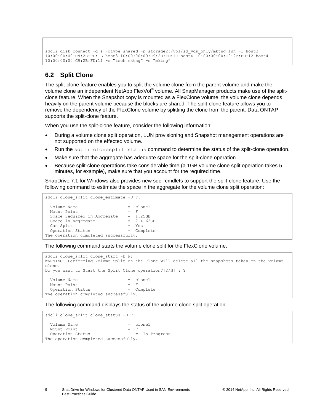```
sdcli disk connect -d s -dtype shared -p storage2:/vol/sd vds only/mktng.lun -I host3
10:00:00:00:C9:2B:FD:1B host3 10:00:00:00:C9:2B:FD:1C host4 10:00:00:00:C9:2B:FD:12 host4 
10:00:00:00:C9:2B:FD:11 -e "tech_mktng" -c "mktng"
```
## <span id="page-8-0"></span>**6.2 Split Clone**

The split-clone feature enables you to split the volume clone from the parent volume and make the volume clone an independent NetApp FlexVol® volume. All SnapManager products make use of the splitclone feature. When the Snapshot copy is mounted as a FlexClone volume, the volume clone depends heavily on the parent volume because the blocks are shared. The split-clone feature allows you to remove the dependency of the FlexClone volume by splitting the clone from the parent. Data ONTAP supports the split-clone feature.

When you use the split-clone feature, consider the following information:

- During a volume clone split operation, LUN provisioning and Snapshot management operations are not supported on the effected volume.
- Run the sdcli clonesplit status command to determine the status of the split-clone operation.
- Make sure that the aggregate has adequate space for the split-clone operation.
- Because split-clone operations take considerable time (a 1GB volume clone split operation takes 5 minutes, for example), make sure that you account for the required time.

SnapDrive 7.1 for Windows also provides new sdcli cmdlets to support the split-clone feature. Use the following command to estimate the space in the aggregate for the volume clone split operation:

```
sdcli clone split clone estimate -D F:
  Volume Name = clone1
 Mount Point = FSpace required in Aggregate = 1.25GB<br>
Space in Aggregate = 714.62GB<br>
Can Split = YesSpace in Aggregate
 Can Split<br>Operation Status = Yes<br>= Complete
 Operation Status
The operation completed successfully.
```
The following command starts the volume clone split for the FlexClone volume:

```
sdcli clone split clone start -D F:
WARNING: Performing Volume Split on the Clone will delete all the snapshots taken on the volume 
clone.
Do you want to Start the Split Clone operation?[Y/N] : Y
 Volume Name = clone1<br>Mount Point = F
Mount Point = F
Operation Status = Complete
The operation completed successfully.
```
The following command displays the status of the volume clone split operation:

```
sdcli clone split clone status -D F:
 Volume Name = clone1
Mount Point = F
 Operation Status = In Progress
The operation completed successfully.
```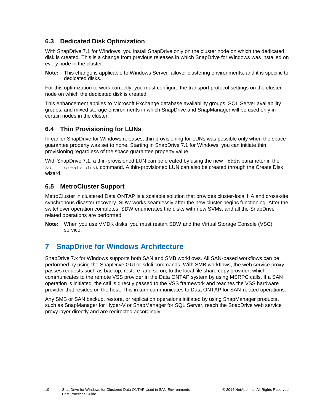## <span id="page-9-0"></span>**6.3 Dedicated Disk Optimization**

With SnapDrive 7.1 for Windows, you install SnapDrive only on the cluster node on which the dedicated disk is created. This is a change from previous releases in which SnapDrive for Windows was installed on every node in the cluster.

**Note:** This change is applicable to Windows Server failover clustering environments, and it is specific to dedicated disks.

For this optimization to work correctly, you must configure the transport protocol settings on the cluster node on which the dedicated disk is created.

This enhancement applies to Microsoft Exchange database availability groups, SQL Server availability groups, and mixed storage environments in which SnapDrive and SnapManager will be used only in certain nodes in the cluster.

## <span id="page-9-1"></span>**6.4 Thin Provisioning for LUNs**

In earlier SnapDrive for Windows releases, thin provisioning for LUNs was possible only when the space guarantee property was set to none. Starting in SnapDrive 7.1 for Windows, you can initiate thin provisioning regardless of the space guarantee property value.

With SnapDrive 7.1, a thin-provisioned LUN can be created by using the new  $-\text{thin}$  parameter in the sdcli create disk command. A thin-provisioned LUN can also be created through the Create Disk wizard.

## <span id="page-9-2"></span>**6.5 MetroCluster Support**

MetroCluster in clustered Data ONTAP is a scalable solution that provides cluster-local HA and cross-site synchronous disaster recovery. SDW works seamlessly after the new cluster begins functioning. After the switchover operation completes, SDW enumerates the disks with new SVMs, and all the SnapDrive related operations are performed.

**Note:** When you use VMDK disks, you must restart SDW and the Virtual Storage Console (VSC) service.

## <span id="page-9-3"></span>**7 SnapDrive for Windows Architecture**

SnapDrive 7.x for Windows supports both SAN and SMB workflows. All SAN-based workflows can be performed by using the SnapDrive GUI or sdcli commands. With SMB workflows, the web service proxy passes requests such as backup, restore, and so on, to the local file share copy provider, which communicates to the remote VSS provider in the Data ONTAP system by using MSRPC calls. If a SAN operation is initiated, the call is directly passed to the VSS framework and reaches the VSS hardware provider that resides on the host. This in turn communicates to Data ONTAP for SAN-related operations.

Any SMB or SAN backup, restore, or replication operations initiated by using SnapManager products, such as SnapManager for Hyper-V or SnapManager for SQL Server, reach the SnapDrive web service proxy layer directly and are redirected accordingly.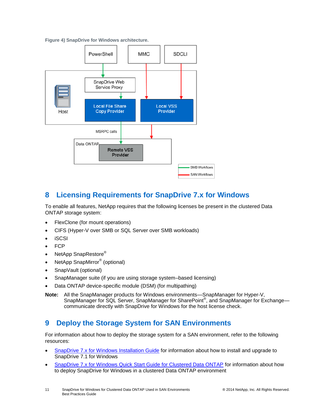<span id="page-10-2"></span>**Figure 4) SnapDrive for Windows architecture.**



## <span id="page-10-0"></span>**8 Licensing Requirements for SnapDrive 7.x for Windows**

To enable all features, NetApp requires that the following licenses be present in the clustered Data ONTAP storage system:

- FlexClone (for mount operations)
- CIFS (Hyper-V over SMB or SQL Server over SMB workloads)
- iSCSI
- **FCP**
- NetApp SnapRestore®
- NetApp SnapMirror<sup>®</sup> (optional)
- SnapVault (optional)
- SnapManager suite (if you are using storage system–based licensing)
- Data ONTAP device-specific module (DSM) (for multipathing)
- **Note:** All the SnapManager products for Windows environments—SnapManager for Hyper-V, SnapManager for SQL Server, SnapManager for SharePoint<sup>®</sup>, and SnapManager for Exchange communicate directly with SnapDrive for Windows for the host license check.

## <span id="page-10-1"></span>**9 Deploy the Storage System for SAN Environments**

For information about how to deploy the storage system for a SAN environment, refer to the following resources:

- [SnapDrive 7.x for Windows Installation Guide](https://library.netapp.com/ecm/ecm_get_file/ECMP1506026) for information about how to install and upgrade to SnapDrive 7.1 for Windows
- SnapDrive [7.x for Windows Quick Start Guide for Clustered Data ONTAP](https://library.netapp.com/ecm/ecm_get_file/ECMP1804825) for information about how to deploy SnapDrive for Windows in a clustered Data ONTAP environment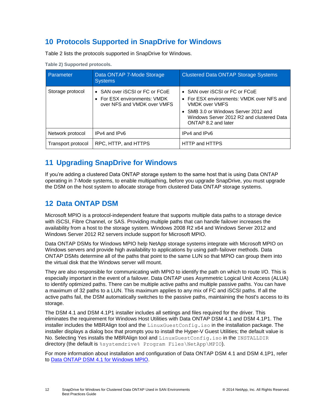## <span id="page-11-0"></span>**10 Protocols Supported in SnapDrive for Windows**

[Table 2](#page-11-3) lists the protocols supported in SnapDrive for Windows.

| Parameter          | Data ONTAP 7-Mode Storage<br><b>Systems</b>                                                   | <b>Clustered Data ONTAP Storage Systems</b>                                                                                                                                                               |
|--------------------|-----------------------------------------------------------------------------------------------|-----------------------------------------------------------------------------------------------------------------------------------------------------------------------------------------------------------|
| Storage protocol   | • SAN over iSCSI or FC or FCoE<br>• For ESX environments: VMDK<br>over NFS and VMDK over VMFS | • SAN over iSCSI or FC or FCoE<br>• For ESX environments: VMDK over NFS and<br>VMDK over VMFS<br>• SMB 3.0 or Windows Server 2012 and<br>Windows Server 2012 R2 and clustered Data<br>ONTAP 8.2 and later |
| Network protocol   | IPv4 and IPv6                                                                                 | IPv4 and IPv6                                                                                                                                                                                             |
| Transport protocol | RPC, HTTP, and HTTPS                                                                          | HTTP and HTTPS                                                                                                                                                                                            |

<span id="page-11-3"></span>**Table 2) Supported protocols.**

## <span id="page-11-1"></span>**11 Upgrading SnapDrive for Windows**

If you're adding a clustered Data ONTAP storage system to the same host that is using Data ONTAP operating in 7-Mode systems, to enable multipathing, before you upgrade SnapDrive, you must upgrade the DSM on the host system to allocate storage from clustered Data ONTAP storage systems.

## <span id="page-11-2"></span>**12 Data ONTAP DSM**

Microsoft MPIO is a protocol-independent feature that supports multiple data paths to a storage device with iSCSI, Fibre Channel, or SAS. Providing multiple paths that can handle failover increases the availability from a host to the storage system. Windows 2008 R2 x64 and Windows Server 2012 and Windows Server 2012 R2 servers include support for Microsoft MPIO.

Data ONTAP DSMs for Windows MPIO help NetApp storage systems integrate with Microsoft MPIO on Windows servers and provide high availability to applications by using path-failover methods. Data ONTAP DSMs determine all of the paths that point to the same LUN so that MPIO can group them into the virtual disk that the Windows server will mount.

They are also responsible for communicating with MPIO to identify the path on which to route I/O. This is especially important in the event of a failover. Data ONTAP uses Asymmetric Logical Unit Access (ALUA) to identify optimized paths. There can be multiple active paths and multiple passive paths. You can have a maximum of 32 paths to a LUN. This maximum applies to any mix of FC and iSCSI paths. If all the active paths fail, the DSM automatically switches to the passive paths, maintaining the host's access to its storage.

The DSM 4.1 and DSM 4.1P1 installer includes all settings and files required for the driver. This eliminates the requirement for Windows Host Utilities with Data ONTAP DSM 4.1 and DSM 4.1P1. The installer includes the MBRAlign tool and the LinuxGuestConfig.iso in the installation package. The installer displays a dialog box that prompts you to install the Hyper-V Guest Utilities; the default value is No. Selecting Yes installs the MBRAlign tool and LinuxGuestConfig.iso in the INSTALLDIR directory (the default is % systemdrive% Program Files\NetApp\MPIO).

For more information about installation and configuration of Data ONTAP DSM 4.1 and DSM 4.1P1, refer to [Data ONTAP DSM 4.1 for](https://library.netapp.com/ecm/ecm_download_file/ECMP1307349) Windows MPIO.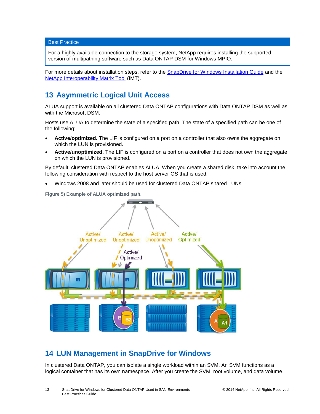Best Practice

For a highly available connection to the storage system, NetApp requires installing the supported version of multipathing software such as Data ONTAP DSM for Windows MPIO.

For more details about installation steps, refer to the **[SnapDrive for Windows Installation Guide](https://library.netapp.com/ecm/ecm_get_file/ECMP1506026)** and the [NetApp Interoperability Matrix Tool](http://support.netapp.com/matrix) (IMT).

## <span id="page-12-0"></span>**13 Asymmetric Logical Unit Access**

ALUA support is available on all clustered Data ONTAP configurations with Data ONTAP DSM as well as with the Microsoft DSM.

Hosts use ALUA to determine the state of a specified path. The state of a specified path can be one of the following:

- **Active/optimized.** The LIF is configured on a port on a controller that also owns the aggregate on which the LUN is provisioned.
- **Active/unoptimized.** The LIF is configured on a port on a controller that does not own the aggregate on which the LUN is provisioned.

By default, clustered Data ONTAP enables ALUA. When you create a shared disk, take into account the following consideration with respect to the host server OS that is used:

Windows 2008 and later should be used for clustered Data ONTAP shared LUNs.

<span id="page-12-2"></span>**Figure 5) Example of ALUA optimized path.**



## <span id="page-12-1"></span>**14 LUN Management in SnapDrive for Windows**

In clustered Data ONTAP, you can isolate a single workload within an SVM. An SVM functions as a logical container that has its own namespace. After you create the SVM, root volume, and data volume,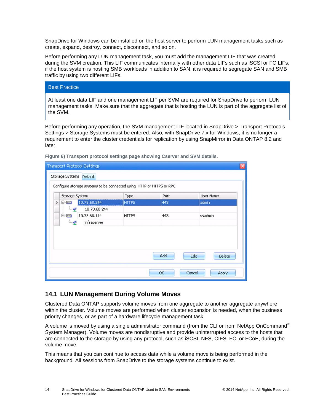SnapDrive for Windows can be installed on the host server to perform LUN management tasks such as create, expand, destroy, connect, disconnect, and so on.

Before performing any LUN management task, you must add the management LIF that was created during the SVM creation. This LIF communicates internally with other data LIFs such as iSCSI or FC LIFs; if the host system is hosting SMB workloads in addition to SAN, it is required to segregate SAN and SMB traffic by using two different LIFs.

| <b>Best Practice</b>                                                                                   |  |
|--------------------------------------------------------------------------------------------------------|--|
| $\mid$ At least one data LIF and one management LIF per SVM are required for SnapDrive to perform LLIN |  |

lata LIF and one management LIF per SVM are required for SnapDrive to perform LUN management tasks. Make sure that the aggregate that is hosting the LUN is part of the aggregate list of the SVM.

Before performing any operation, the SVM management LIF located in SnapDrive > Transport Protocols Settings > Storage Systems must be entered. Also, with SnapDrive 7.x for Windows, it is no longer a requirement to enter the cluster credentials for replication by using SnapMirror in Data ONTAP 8.2 and later.

| Storage Systems Default          | <b>Transport Protocol Settings</b>                                   |              |      |                 |
|----------------------------------|----------------------------------------------------------------------|--------------|------|-----------------|
| Storage System                   | Configure storage systems to be connected using HTTP or HTTPS or RPC | Type         | Port | User Name       |
| $\Box$ - $\Box$<br>$\rightarrow$ | 10.73.68.244                                                         | <b>HTTPS</b> | 443  | admin           |
| lings.                           | 10.73.68.244                                                         |              |      |                 |
| $-$ - $\mathbf{m}$               | 10.73.68.114                                                         | <b>HTTPS</b> | 443  | vsadmin         |
| $\frac{1}{2}$                    | infraserver                                                          |              |      |                 |
|                                  |                                                                      |              | Add  | Edit<br>Delete  |
|                                  |                                                                      |              | OK   | Cancel<br>Apply |

<span id="page-13-1"></span>**Figure 6) Transport protocol settings page showing Cserver and SVM details.**

## <span id="page-13-0"></span>**14.1 LUN Management During Volume Moves**

Clustered Data ONTAP supports volume moves from one aggregate to another aggregate anywhere within the cluster. Volume moves are performed when cluster expansion is needed, when the business priority changes, or as part of a hardware lifecycle management task.

A volume is moved by using a single administrator command (from the CLI or from NetApp OnCommand<sup>®</sup> System Manager). Volume moves are nondisruptive and provide uninterrupted access to the hosts that are connected to the storage by using any protocol, such as iSCSI, NFS, CIFS, FC, or FCoE, during the volume move.

This means that you can continue to access data while a volume move is being performed in the background. All sessions from SnapDrive to the storage systems continue to exist.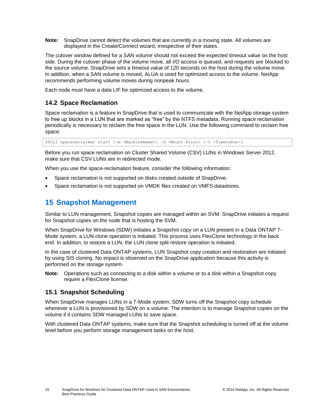**Note:** SnapDrive cannot detect the volumes that are currently in a moving state. All volumes are displayed in the Create/Connect wizard, irrespective of their states.

The cutover window defined for a SAN volume should not exceed the expected timeout value on the host side. During the cutover phase of the volume move, all I/O access is queued, and requests are blocked to the source volume. SnapDrive sets a timeout value of 120 seconds on the host during the volume move. In addition, when a SAN volume is moved, ALUA is used for optimized access to the volume. NetApp recommends performing volume moves during nonpeak hours.

Each node must have a data LIF for optimized access to the volume.

## <span id="page-14-0"></span>**14.2 Space Reclamation**

Space reclamation is a feature in SnapDrive that is used to communicate with the NetApp storage system to free up blocks in a LUN that are marked as "free" by the NTFS metadata. Running space reclamation periodically is necessary to reclaim the free space in the LUN. Use the following command to reclaim free space:

SDCLI spacereclaimer start [-m <MachineName>] –d <Mount Point> [-t <TimetoRun>]

Before you run space reclamation on Cluster Shared Volume (CSV) LUNs in Windows Server 2012, make sure that CSV LUNs are in redirected mode.

When you use the space-reclamation feature, consider the following information:

- Space reclamation is not supported on disks created outside of SnapDrive.
- Space reclamation is not supported on VMDK files created on VMFS datastores.

## <span id="page-14-1"></span>**15 Snapshot Management**

Similar to LUN management, Snapshot copies are managed within an SVM. SnapDrive initiates a request for Snapshot copies on the node that is hosting the SVM.

When SnapDrive for Windows (SDW) initiates a Snapshot copy on a LUN present in a Data ONTAP 7- Mode system, a LUN clone operation is initiated. This process uses FlexClone technology in the back end. In addition, to restore a LUN, the LUN clone split restore operation is initiated.

In the case of clustered Data ONTAP systems, LUN Snapshot copy creation and restoration are initiated by using SIS cloning. No impact is observed on the SnapDrive application because this activity is performed on the storage system.

**Note:** Operations such as connecting to a disk within a volume or to a disk within a Snapshot copy require a FlexClone license.

## <span id="page-14-2"></span>**15.1 Snapshot Scheduling**

When SnapDrive manages LUNs in a 7-Mode system, SDW turns off the Snapshot copy schedule whenever a LUN is provisioned by SDW on a volume. The intention is to manage Snapshot copies on the volume if it contains SDW managed LUNs to save space.

With clustered Data ONTAP systems, make sure that the Snapshot scheduling is turned off at the volume level before you perform storage management tasks on the host.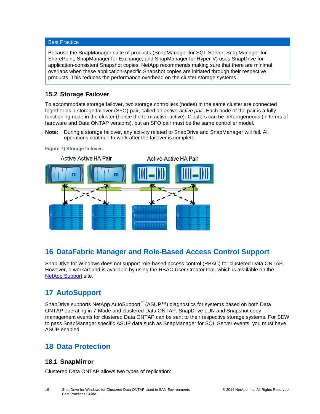#### Best Practice

Because the SnapManager suite of products (SnapManager for SQL Server, SnapManager for SharePoint, SnapManager for Exchange, and SnapManager for Hyper-V) uses SnapDrive for application-consistent Snapshot copies, NetApp recommends making sure that there are minimal overlaps when these application-specific Snapshot copies are initiated through their respective products. This reduces the performance overhead on the cluster storage systems.

### <span id="page-15-0"></span>**15.2 Storage Failover**

To accommodate storage failover, two storage controllers (nodes) in the same cluster are connected together as a storage failover (SFO) pair, called an *active-active pair*. Each node of the pair is a fully functioning node in the cluster (hence the term active-active). Clusters can be heterogeneous (in terms of hardware and Data ONTAP versions), but an SFO pair must be the same controller model.

**Note:** During a storage failover, any activity related to SnapDrive and SnapManager will fail. All operations continue to work after the failover is complete.

<span id="page-15-5"></span>**Figure 7) Storage failover.**



## <span id="page-15-1"></span>**16 DataFabric Manager and Role-Based Access Control Support**

SnapDrive for Windows does not support role-based access control (RBAC) for clustered Data ONTAP. However, a workaround is available by using the RBAC User Creator tool, which is available on the [NetApp Support](http://mysupport.netapp.com/NOW/download/tools/rbac/) site.

## <span id="page-15-2"></span>**17 AutoSupport**

SnapDrive supports NetApp AutoSupport<sup>™</sup> (ASUP™) diagnostics for systems based on both Data ONTAP operating in 7-Mode and clustered Data ONTAP. SnapDrive LUN and Snapshot copy management events for clustered Data ONTAP can be sent to their respective storage systems. For SDW to pass SnapManager specific ASUP data such as SnapManager for SQL Server events, you must have ASUP enabled.

## <span id="page-15-3"></span>**18 Data Protection**

### <span id="page-15-4"></span>**18.1 SnapMirror**

Clustered Data ONTAP allows two types of replication: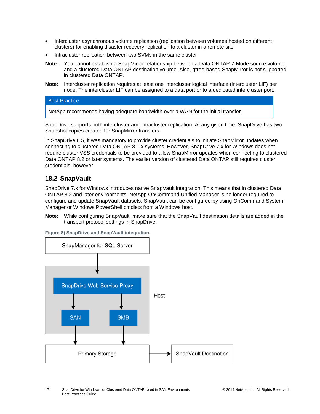- Intercluster asynchronous volume replication (replication between volumes hosted on different clusters) for enabling disaster recovery replication to a cluster in a remote site
- Intracluster replication between two SVMs in the same cluster
- **Note:** You cannot establish a SnapMirror relationship between a Data ONTAP 7-Mode source volume and a clustered Data ONTAP destination volume. Also, qtree-based SnapMirror is not supported in clustered Data ONTAP.
- **Note:** Intercluster replication requires at least one intercluster logical interface (intercluster LIF) per node. The intercluster LIF can be assigned to a data port or to a dedicated intercluster port.

#### Best Practice

NetApp recommends having adequate bandwidth over a WAN for the initial transfer.

SnapDrive supports both intercluster and intracluster replication. At any given time, SnapDrive has two Snapshot copies created for SnapMirror transfers.

In SnapDrive 6.5, it was mandatory to provide cluster credentials to initiate SnapMirror updates when connecting to clustered Data ONTAP 8.1.x systems. However, SnapDrive 7.x for Windows does not require cluster VSS credentials to be provided to allow SnapMirror updates when connecting to clustered Data ONTAP 8.2 or later systems. The earlier version of clustered Data ONTAP still requires cluster credentials, however.

### <span id="page-16-0"></span>**18.2 SnapVault**

SnapDrive 7.x for Windows introduces native SnapVault integration. This means that in clustered Data ONTAP 8.2 and later environments, NetApp OnCommand Unified Manager is no longer required to configure and update SnapVault datasets. SnapVault can be configured by using OnCommand System Manager or Windows PowerShell cmdlets from a Windows host.

**Note:** While configuring SnapVault, make sure that the SnapVault destination details are added in the transport protocol settings in SnapDrive.

<span id="page-16-1"></span>**Figure 8) SnapDrive and SnapVault integration.**

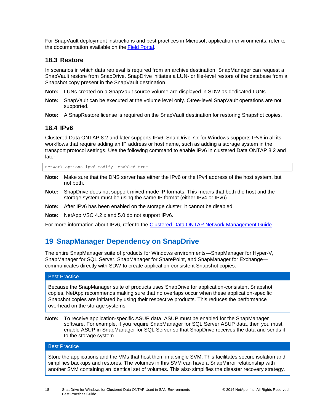For SnapVault deployment instructions and best practices in Microsoft application environments, refer to the documentation available on the [Field Portal.](https://fieldportal.netapp.com/home.aspx)

#### <span id="page-17-0"></span>**18.3 Restore**

In scenarios in which data retrieval is required from an archive destination, SnapManager can request a SnapVault restore from SnapDrive. SnapDrive initiates a LUN- or file-level restore of the database from a Snapshot copy present in the SnapVault destination.

- **Note:** LUNs created on a SnapVault source volume are displayed in SDW as dedicated LUNs.
- **Note:** SnapVault can be executed at the volume level only. Qtree-level SnapVault operations are not supported.
- **Note:** A SnapRestore license is required on the SnapVault destination for restoring Snapshot copies.

### <span id="page-17-1"></span>**18.4 IPv6**

Clustered Data ONTAP 8.2 and later supports IPv6. SnapDrive 7.x for Windows supports IPv6 in all its workflows that require adding an IP address or host name, such as adding a storage system in the transport protocol settings. Use the following command to enable IPv6 in clustered Data ONTAP 8.2 and later:

network options ipv6 modify -enabled true

- **Note:** Make sure that the DNS server has either the IPv6 or the IPv4 address of the host system, but not both.
- **Note:** SnapDrive does not support mixed-mode IP formats. This means that both the host and the storage system must be using the same IP format (either IPv4 or IPv6).
- **Note:** After IPv6 has been enabled on the storage cluster, it cannot be disabled.
- **Note:** NetApp VSC 4.2.x and 5.0 do not support IPv6.

For more information about IPv6, refer to the [Clustered Data ONTAP Network Management Guide.](http://mysupport.netapp.com/documentation/docweb/index.html?productID=61651)

## <span id="page-17-2"></span>**19 SnapManager Dependency on SnapDrive**

The entire SnapManager suite of products for Windows environments—SnapManager for Hyper-V, SnapManager for SQL Server, SnapManager for SharePoint, and SnapManager for Exchange communicates directly with SDW to create application-consistent Snapshot copies.

#### Best Practice

Because the SnapManager suite of products uses SnapDrive for application-consistent Snapshot copies, NetApp recommends making sure that no overlaps occur when these application-specific Snapshot copies are initiated by using their respective products. This reduces the performance overhead on the storage systems.

**Note:** To receive application-specific ASUP data, ASUP must be enabled for the SnapManager software. For example, if you require SnapManager for SQL Server ASUP data, then you must enable ASUP in SnapManager for SQL Server so that SnapDrive receives the data and sends it to the storage system.

#### Best Practice

Store the applications and the VMs that host them in a single SVM. This facilitates secure isolation and simplifies backups and restores. The volumes in this SVM can have a SnapMirror relationship with another SVM containing an identical set of volumes. This also simplifies the disaster recovery strategy.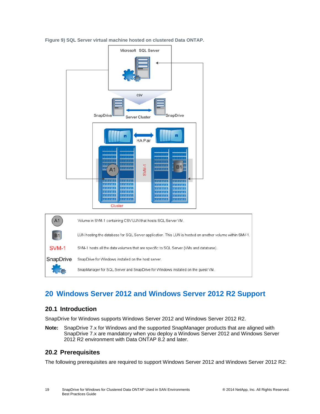

<span id="page-18-3"></span>**Figure 9) SQL Server virtual machine hosted on clustered Data ONTAP.**

## <span id="page-18-0"></span>**20 Windows Server 2012 and Windows Server 2012 R2 Support**

### <span id="page-18-1"></span>**20.1 Introduction**

SnapDrive for Windows supports Windows Server 2012 and Windows Server 2012 R2.

**Note:** SnapDrive 7.x for Windows and the supported SnapManager products that are aligned with SnapDrive 7.x are mandatory when you deploy a Windows Server 2012 and Windows Server 2012 R2 environment with Data ONTAP 8.2 and later.

### <span id="page-18-2"></span>**20.2 Prerequisites**

The following prerequisites are required to support Windows Server 2012 and Windows Server 2012 R2: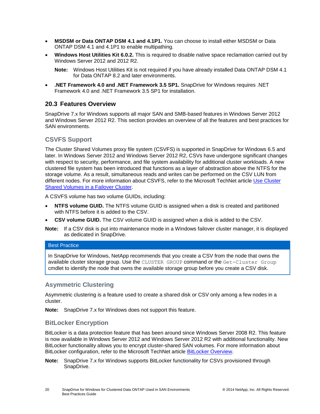- **MSDSM or Data ONTAP DSM 4.1 and 4.1P1.** You can choose to install either MSDSM or Data ONTAP DSM 4.1 and 4.1P1 to enable multipathing.
- **Windows Host Utilities Kit 6.0.2.** This is required to disable native space reclamation carried out by Windows Server 2012 and 2012 R2.
	- **Note:** Windows Host Utilities Kit is not required if you have already installed Data ONTAP DSM 4.1 for Data ONTAP 8.2 and later environments.
- **.NET Framework 4.0 and .NET Framework 3.5 SP1.** SnapDrive for Windows requires .NET Framework 4.0 and .NET Framework 3.5 SP1 for installation.

### <span id="page-19-0"></span>**20.3 Features Overview**

SnapDrive 7.x for Windows supports all major SAN and SMB-based features in Windows Server 2012 and Windows Server 2012 R2. This section provides an overview of all the features and best practices for SAN environments.

### **CSVFS Support**

The Cluster Shared Volumes proxy file system (CSVFS) is supported in SnapDrive for Windows 6.5 and later. In Windows Server 2012 and Windows Server 2012 R2, CSVs have undergone significant changes with respect to security, performance, and file system availability for additional cluster workloads. A new clustered file system has been introduced that functions as a layer of abstraction above the NTFS for the storage volume. As a result, simultaneous reads and writes can be performed on the CSV LUN from different nodes. For more information about CSVFS, refer to the Microsoft TechNet article [Use Cluster](http://technet.microsoft.com/en-us/library/jj612868.aspx)  [Shared Volumes in a Failover Cluster.](http://technet.microsoft.com/en-us/library/jj612868.aspx)

A CSVFS volume has two volume GUIDs, including:

- **NTFS volume GUID.** The NTFS volume GUID is assigned when a disk is created and partitioned with NTFS before it is added to the CSV.
- **CSV volume GUID.** The CSV volume GUID is assigned when a disk is added to the CSV.
- **Note:** If a CSV disk is put into maintenance mode in a Windows failover cluster manager, it is displayed as dedicated in SnapDrive.

#### Best Practice

In SnapDrive for Windows, NetApp recommends that you create a CSV from the node that owns the available cluster storage group. Use the CLUSTER GROUP command or the Get-Cluster Group cmdlet to identify the node that owns the available storage group before you create a CSV disk.

#### **Asymmetric Clustering**

Asymmetric clustering is a feature used to create a shared disk or CSV only among a few nodes in a cluster.

**Note:** SnapDrive 7.x for Windows does not support this feature.

#### **BitLocker Encryption**

BitLocker is a data protection feature that has been around since Windows Server 2008 R2. This feature is now available in Windows Server 2012 and Windows Server 2012 R2 with additional functionality. New BitLocker functionality allows you to encrypt cluster-shared SAN volumes. For more information about BitLocker configuration, refer to the Microsoft TechNet article [BitLocker Overview.](http://technet.microsoft.com/en-us/library/hh831713)

**Note:** SnapDrive 7.x for Windows supports BitLocker functionality for CSVs provisioned through SnapDrive.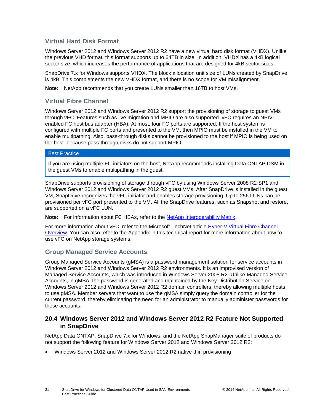### **Virtual Hard Disk Format**

Windows Server 2012 and Windows Server 2012 R2 have a new virtual hard disk format (VHDX). Unlike the previous VHD format, this format supports up to 64TB in size. In addition, VHDX has a 4kB logical sector size, which increases the performance of applications that are designed for 4kB sector sizes.

SnapDrive 7.x for Windows supports VHDX. The block allocation unit size of LUNs created by SnapDrive is 4kB. This complements the new VHDX format, and there is no scope for VM misalignment.

**Note:** NetApp recommends that you create LUNs smaller than 16TB to host VMs.

## **Virtual Fibre Channel**

Windows Server 2012 and Windows Server 2012 R2 support the provisioning of storage to guest VMs through vFC. Features such as live migration and MPIO are also supported. vFC requires an NPIVenabled FC host bus adapter (HBA). At most, four FC ports are supported. If the host system is configured with multiple FC ports and presented to the VM, then MPIO must be installed in the VM to enable multipathing. Also, pass-through disks cannot be provisioned to the host if MPIO is being used on the host because pass-through disks do not support MPIO.

#### Best Practice

If you are using multiple FC initiators on the host, NetApp recommends installing Data ONTAP DSM in the guest VMs to enable multipathing in the guest.

SnapDrive supports provisioning of storage through vFC by using Windows Server 2008 R2 SP1 and Windows Server 2012 and Windows Server 2012 R2 guest VMs. After SnapDrive is installed in the guest VM, SnapDrive recognizes the vFC initiator and enables storage provisioning. Up to 256 LUNs can be provisioned per vFC port presented to the VM. All the SnapDrive features, such as Snapshot and restore, are supported on a vFC LUN.

**Note:** For information about FC HBAs, refer to the [NetApp Interoperability Matrix.](http://support.netapp.com/matrix)

For more information about vFC, refer to the Microsoft TechNet article [Hyper-V Virtual Fibre Channel](http://technet.microsoft.com/en-us/library/hh831413.aspx)  [Overview.](http://technet.microsoft.com/en-us/library/hh831413.aspx) You can also refer to the [Appendix](#page-22-1) in this technical report for more information about how to use vFC on NetApp storage systems.

## **Group Managed Service Accounts**

Group Managed Service Accounts (gMSA) is a password management solution for service accounts in Windows Server 2012 and Windows Server 2012 R2 environments. It is an improvised version of Managed Service Accounts, which was introduced in Windows Server 2008 R2. Unlike Managed Service Accounts, in gMSA, the password is generated and maintained by the Key Distribution Service on Windows Server 2012 and Windows Server 2012 R2 domain controllers, thereby allowing multiple hosts to use gMSA. Member servers that want to use the gMSA simply query the domain controller for the current password, thereby eliminating the need for an administrator to manually administer passwords for these accounts.

### <span id="page-20-0"></span>**20.4 Windows Server 2012 and Windows Server 2012 R2 Feature Not Supported in SnapDrive**

NetApp Data ONTAP, SnapDrive 7.x for Windows, and the NetApp SnapManager suite of products do not support the following feature for Windows Server 2012 and Windows Server 2012 R2:

Windows Server 2012 and Windows Server 2012 R2 native thin provisioning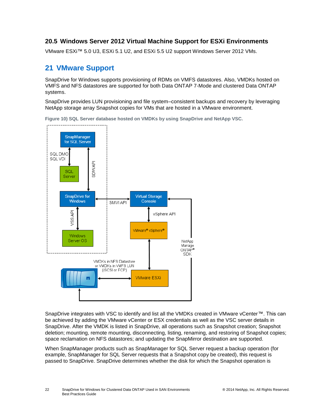## <span id="page-21-0"></span>**20.5 Windows Server 2012 Virtual Machine Support for ESXi Environments**

VMware ESXi™ 5.0 U3, ESXi 5.1 U2, and ESXi 5.5 U2 support Windows Server 2012 VMs.

## <span id="page-21-1"></span>**21 VMware Support**

SnapDrive for Windows supports provisioning of RDMs on VMFS datastores. Also, VMDKs hosted on VMFS and NFS datastores are supported for both Data ONTAP 7-Mode and clustered Data ONTAP systems.

SnapDrive provides LUN provisioning and file system–consistent backups and recovery by leveraging NetApp storage array Snapshot copies for VMs that are hosted in a VMware environment.

<span id="page-21-2"></span>**Figure 10) SQL Server database hosted on VMDKs by using SnapDrive and NetApp VSC.**



SnapDrive integrates with VSC to identify and list all the VMDKs created in VMware vCenter™. This can be achieved by adding the VMware vCenter or ESX credentials as well as the VSC server details in SnapDrive. After the VMDK is listed in SnapDrive, all operations such as Snapshot creation; Snapshot deletion; mounting, remote mounting, disconnecting, listing, renaming, and restoring of Snapshot copies; space reclamation on NFS datastores; and updating the SnapMirror destination are supported.

When SnapManager products such as SnapManager for SQL Server request a backup operation (for example, SnapManager for SQL Server requests that a Snapshot copy be created), this request is passed to SnapDrive. SnapDrive determines whether the disk for which the Snapshot operation is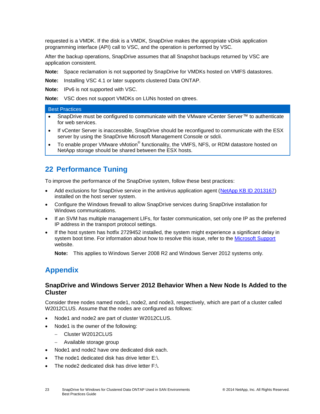requested is a VMDK. If the disk is a VMDK, SnapDrive makes the appropriate vDisk application programming interface (API) call to VSC, and the operation is performed by VSC.

After the backup operations, SnapDrive assumes that all Snapshot backups returned by VSC are application consistent.

**Note:** Space reclamation is not supported by SnapDrive for VMDKs hosted on VMFS datastores.

**Note:** Installing VSC 4.1 or later supports clustered Data ONTAP.

**Note:** IPv6 is not supported with VSC.

**Note:** VSC does not support VMDKs on LUNs hosted on qtrees.

#### Best Practices

- SnapDrive must be configured to communicate with the VMware vCenter Server™ to authenticate for web services.
- If vCenter Server is inaccessible, SnapDrive should be reconfigured to communicate with the ESX server by using the SnapDrive Microsoft Management Console or sdcli.
- To enable proper VMware vMotion® functionality, the VMFS, NFS, or RDM datastore hosted on NetApp storage should be shared between the ESX hosts.

## <span id="page-22-0"></span>**22 Performance Tuning**

To improve the performance of the SnapDrive system, follow these best practices:

- Add exclusions for SnapDrive service in the antivirus application agent [\(NetApp KB ID 2013167\)](https://kb.netapp.com/support/index?page=content&id=2013167) installed on the host server system.
- Configure the Windows firewall to allow SnapDrive services during SnapDrive installation for Windows communications.
- If an SVM has multiple management LIFs, for faster communication, set only one IP as the preferred IP address in the transport protocol settings.
- If the host system has hotfix 2729452 installed, the system might experience a significant delay in system boot time. For information about how to resolve this issue, refer to the [Microsoft Support](http://support.microsoft.com/kb/2859162) website.

**Note:** This applies to Windows Server 2008 R2 and Windows Server 2012 systems only.

## <span id="page-22-1"></span>**Appendix**

#### <span id="page-22-2"></span>**SnapDrive and Windows Server 2012 Behavior When a New Node Is Added to the Cluster**

Consider three nodes named node1, node2, and node3, respectively, which are part of a cluster called W2012CLUS. Assume that the nodes are configured as follows:

- Node1 and node2 are part of cluster W2012CLUS.
- Node1 is the owner of the following:
	- Cluster W2012CLUS
	- Available storage group
- Node1 and node2 have one dedicated disk each.
- The node1 dedicated disk has drive letter E:\.
- The node2 dedicated disk has drive letter F:\.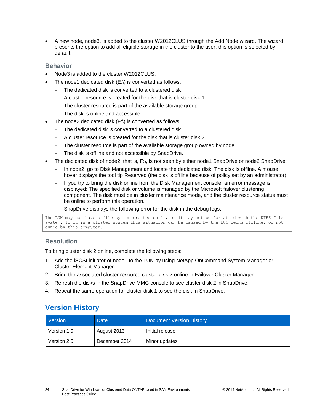A new node, node3, is added to the cluster W2012CLUS through the Add Node wizard. The wizard presents the option to add all eligible storage in the cluster to the user; this option is selected by default.

### **Behavior**

- Node3 is added to the cluster W2012CLUS.
- The node1 dedicated disk (E:\) is converted as follows:
	- The dedicated disk is converted to a clustered disk.
	- A cluster resource is created for the disk that is cluster disk 1.
	- The cluster resource is part of the available storage group.
	- The disk is online and accessible.
- The node2 dedicated disk (F:\) is converted as follows:
	- The dedicated disk is converted to a clustered disk.
	- A cluster resource is created for the disk that is cluster disk 2.
	- The cluster resource is part of the available storage group owned by node1.
	- The disk is offline and not accessible by SnapDrive.
- The dedicated disk of node2, that is, F:\, is not seen by either node1 SnapDrive or node2 SnapDrive:
	- In node2, go to Disk Management and locate the dedicated disk. The disk is offline. A mouse hover displays the tool tip Reserved (the disk is offline because of policy set by an administrator).
	- If you try to bring the disk online from the Disk Management console, an error message is displayed: The specified disk or volume is managed by the Microsoft failover clustering component. The disk must be in cluster maintenance mode, and the cluster resource status must be online to perform this operation.
	- SnapDrive displays the following error for the disk in the debug logs:

```
The LUN may not have a file system created on it, or it may not be formatted with the NTFS file
system. If it is a cluster system this situation can be caused by the LUN being offline, or not 
owned by this computer.
```
## **Resolution**

To bring cluster disk 2 online, complete the following steps:

- 1. Add the iSCSI initiator of node1 to the LUN by using NetApp OnCommand System Manager or Cluster Element Manager.
- 2. Bring the associated cluster resource cluster disk 2 online in Failover Cluster Manager.
- 3. Refresh the disks in the SnapDrive MMC console to see cluster disk 2 in SnapDrive.
- <span id="page-23-0"></span>4. Repeat the same operation for cluster disk 1 to see the disk in SnapDrive.

## **Version History**

| Version     | <b>Date</b>   | <b>Document Version History</b> |
|-------------|---------------|---------------------------------|
| Version 1.0 | August 2013   | Initial release                 |
| Version 2.0 | December 2014 | Minor updates                   |